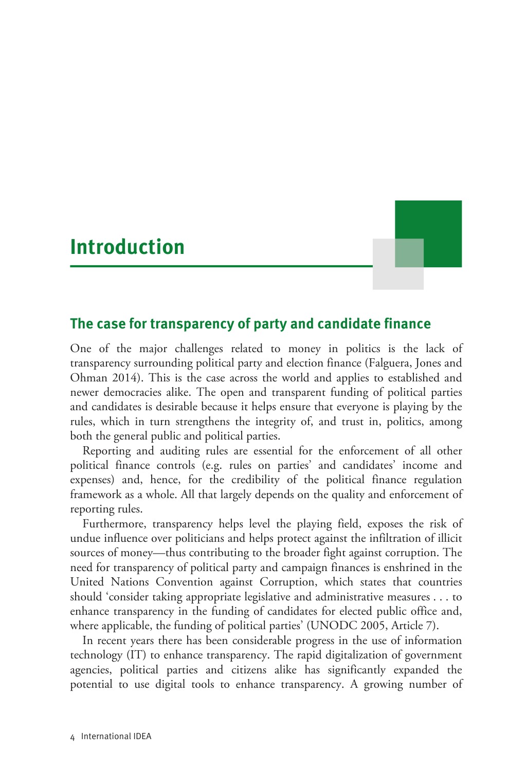# **Introduction**



# **The case for transparency of party and candidate finance**

One of the major challenges related to money in politics is the lack of transparency surrounding political party and election finance (Falguera, Jones and Ohman 2014). This is the case across the world and applies to established and newer democracies alike. The open and transparent funding of political parties and candidates is desirable because it helps ensure that everyone is playing by the rules, which in turn strengthens the integrity of, and trust in, politics, among both the general public and political parties.

Reporting and auditing rules are essential for the enforcement of all other political finance controls (e.g. rules on parties' and candidates' income and expenses) and, hence, for the credibility of the political finance regulation framework as a whole. All that largely depends on the quality and enforcement of reporting rules.

Furthermore, transparency helps level the playing field, exposes the risk of undue influence over politicians and helps protect against the infiltration of illicit sources of money—thus contributing to the broader fight against corruption. The need for transparency of political party and campaign finances is enshrined in the United Nations Convention against Corruption, which states that countries should 'consider taking appropriate legislative and administrative measures . . . to enhance transparency in the funding of candidates for elected public office and, where applicable, the funding of political parties' (UNODC 2005, Article 7).

In recent years there has been considerable progress in the use of information technology (IT) to enhance transparency. The rapid digitalization of government agencies, political parties and citizens alike has significantly expanded the potential to use digital tools to enhance transparency. A growing number of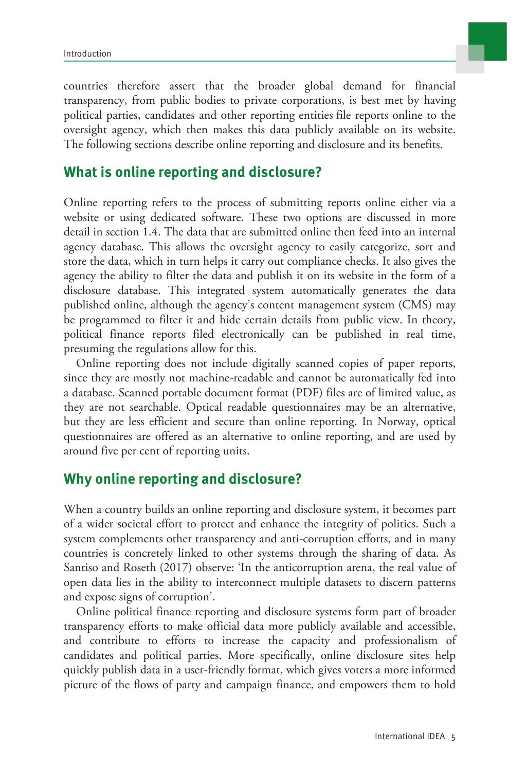

countries therefore assert that the broader global demand for financial transparency, from public bodies to private corporations, is best met by having political parties, candidates and other reporting entities file reports online to the oversight agency, which then makes this data publicly available on its website. The following sections describe online reporting and disclosure and its benefits.

# **What is online reporting and disclosure?**

Online reporting refers to the process of submitting reports online either via a website or using dedicated software. These two options are discussed in more detail in section 1.4. The data that are submitted online then feed into an internal agency database. This allows the oversight agency to easily categorize, sort and store the data, which in turn helps it carry out compliance checks. It also gives the agency the ability to filter the data and publish it on its website in the form of a disclosure database. This integrated system automatically generates the data published online, although the agency's content management system (CMS) may be programmed to filter it and hide certain details from public view. In theory, political finance reports filed electronically can be published in real time, presuming the regulations allow for this.

Online reporting does not include digitally scanned copies of paper reports, since they are mostly not machine-readable and cannot be automatically fed into a database. Scanned portable document format (PDF) files are of limited value, as they are not searchable. Optical readable questionnaires may be an alternative, but they are less efficient and secure than online reporting. In Norway, optical questionnaires are offered as an alternative to online reporting, and are used by around five per cent of reporting units.

# **Why online reporting and disclosure?**

When a country builds an online reporting and disclosure system, it becomes part of a wider societal effort to protect and enhance the integrity of politics. Such a system complements other transparency and anti-corruption efforts, and in many countries is concretely linked to other systems through the sharing of data. As Santiso and Roseth (2017) observe: 'In the anticorruption arena, the real value of open data lies in the ability to interconnect multiple datasets to discern patterns and expose signs of corruption'.

Online political finance reporting and disclosure systems form part of broader transparency efforts to make official data more publicly available and accessible, and contribute to efforts to increase the capacity and professionalism of candidates and political parties. More specifically, online disclosure sites help quickly publish data in a user-friendly format, which gives voters a more informed picture of the flows of party and campaign finance, and empowers them to hold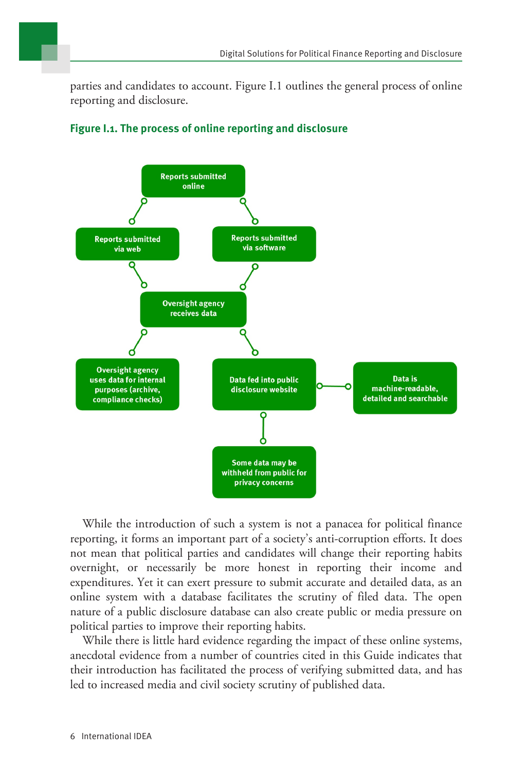parties and candidates to account. Figure I.1 outlines the general process of online reporting and disclosure.



### **Figure I.1. The process of online reporting and disclosure**

While the introduction of such a system is not a panacea for political finance reporting, it forms an important part of a society's anti-corruption efforts. It does not mean that political parties and candidates will change their reporting habits overnight, or necessarily be more honest in reporting their income and expenditures. Yet it can exert pressure to submit accurate and detailed data, as an online system with a database facilitates the scrutiny of filed data. The open nature of a public disclosure database can also create public or media pressure on political parties to improve their reporting habits.

While there is little hard evidence regarding the impact of these online systems, anecdotal evidence from a number of countries cited in this Guide indicates that their introduction has facilitated the process of verifying submitted data, and has led to increased media and civil society scrutiny of published data.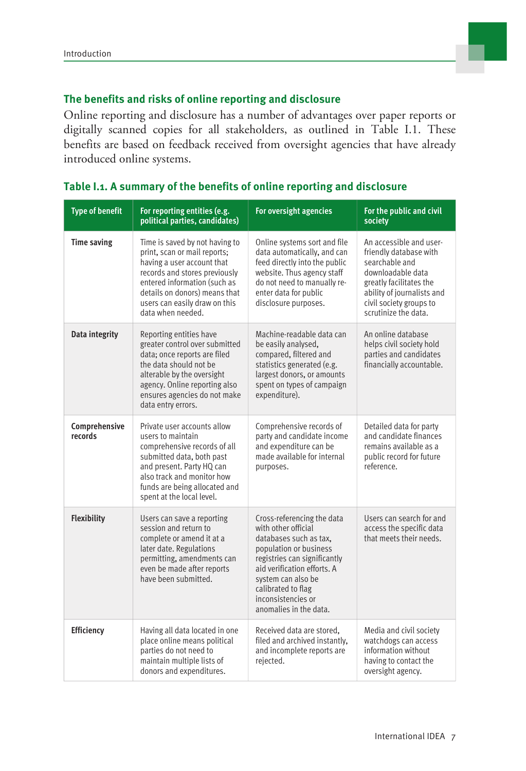

#### **The benefits and risks of online reporting and disclosure**

Online reporting and disclosure has a number of advantages over paper reports or digitally scanned copies for all stakeholders, as outlined in Table I.1. These benefits are based on feedback received from oversight agencies that have already introduced online systems.

| <b>Type of benefit</b>   | For reporting entities (e.g.<br>political parties, candidates)                                                                                                                                                                                       | For oversight agencies                                                                                                                                                                                                                                           | For the public and civil<br>society                                                                                                                                                                  |
|--------------------------|------------------------------------------------------------------------------------------------------------------------------------------------------------------------------------------------------------------------------------------------------|------------------------------------------------------------------------------------------------------------------------------------------------------------------------------------------------------------------------------------------------------------------|------------------------------------------------------------------------------------------------------------------------------------------------------------------------------------------------------|
| <b>Time saving</b>       | Time is saved by not having to<br>print, scan or mail reports;<br>having a user account that<br>records and stores previously<br>entered information (such as<br>details on donors) means that<br>users can easily draw on this<br>data when needed. | Online systems sort and file<br>data automatically, and can<br>feed directly into the public<br>website. Thus agency staff<br>do not need to manually re-<br>enter data for public<br>disclosure purposes.                                                       | An accessible and user-<br>friendly database with<br>searchable and<br>downloadable data<br>greatly facilitates the<br>ability of journalists and<br>civil society groups to<br>scrutinize the data. |
| Data integrity           | Reporting entities have<br>greater control over submitted<br>data; once reports are filed<br>the data should not be<br>alterable by the oversight<br>agency. Online reporting also<br>ensures agencies do not make<br>data entry errors.             | Machine-readable data can<br>be easily analysed,<br>compared, filtered and<br>statistics generated (e.g.<br>largest donors, or amounts<br>spent on types of campaign<br>expenditure).                                                                            | An online database<br>helps civil society hold<br>parties and candidates<br>financially accountable.                                                                                                 |
| Comprehensive<br>records | Private user accounts allow<br>users to maintain<br>comprehensive records of all<br>submitted data, both past<br>and present. Party HQ can<br>also track and monitor how<br>funds are being allocated and<br>spent at the local level.               | Comprehensive records of<br>party and candidate income<br>and expenditure can be<br>made available for internal<br>purposes.                                                                                                                                     | Detailed data for party<br>and candidate finances<br>remains available as a<br>public record for future<br>reference.                                                                                |
| Flexibility              | Users can save a reporting<br>session and return to<br>complete or amend it at a<br>later date. Regulations<br>permitting, amendments can<br>even be made after reports<br>have been submitted.                                                      | Cross-referencing the data<br>with other official<br>databases such as tax.<br>population or business<br>registries can significantly<br>aid verification efforts. A<br>system can also be<br>calibrated to flag<br>inconsistencies or<br>anomalies in the data. | Users can search for and<br>access the specific data<br>that meets their needs.                                                                                                                      |
| Efficiency               | Having all data located in one<br>place online means political<br>parties do not need to<br>maintain multiple lists of<br>donors and expenditures.                                                                                                   | Received data are stored.<br>filed and archived instantly,<br>and incomplete reports are<br>rejected.                                                                                                                                                            | Media and civil society<br>watchdogs can access<br>information without<br>having to contact the<br>oversight agency.                                                                                 |

#### **Table I.1. A summary of the benefits of online reporting and disclosure**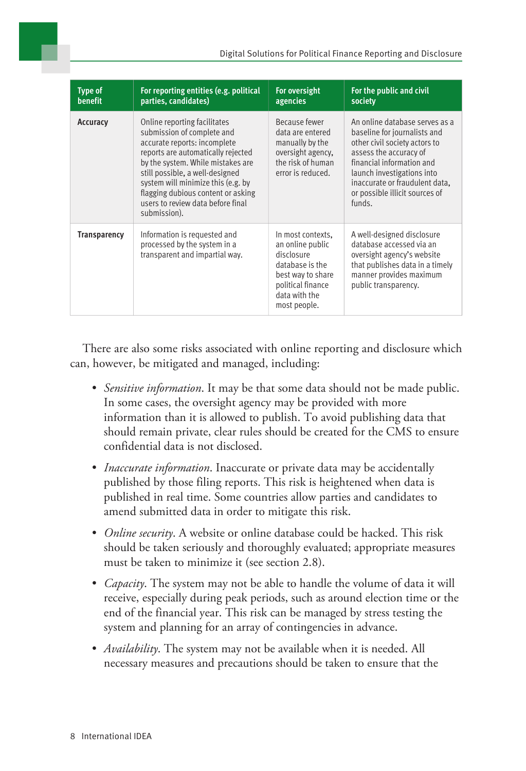| <b>Type of</b><br>benefit | For reporting entities (e.g. political<br>parties, candidates)                                                                                                                                                                                                                                                                            | For oversight<br>agencies                                                                                                                         | For the public and civil<br>society                                                                                                                                                                                                                                |
|---------------------------|-------------------------------------------------------------------------------------------------------------------------------------------------------------------------------------------------------------------------------------------------------------------------------------------------------------------------------------------|---------------------------------------------------------------------------------------------------------------------------------------------------|--------------------------------------------------------------------------------------------------------------------------------------------------------------------------------------------------------------------------------------------------------------------|
| Accuracy                  | Online reporting facilitates<br>submission of complete and<br>accurate reports: incomplete<br>reports are automatically rejected<br>by the system. While mistakes are<br>still possible, a well-designed<br>system will minimize this (e.g. by<br>flagging dubious content or asking<br>users to review data before final<br>submission). | Because fewer<br>data are entered<br>manually by the<br>oversight agency.<br>the risk of human<br>error is reduced.                               | An online database serves as a<br>baseline for journalists and<br>other civil society actors to<br>assess the accuracy of<br>financial information and<br>launch investigations into<br>inaccurate or fraudulent data,<br>or possible illicit sources of<br>funds. |
| <b>Transparency</b>       | Information is requested and<br>processed by the system in a<br>transparent and impartial way.                                                                                                                                                                                                                                            | In most contexts.<br>an online public<br>disclosure<br>database is the<br>best way to share<br>political finance<br>data with the<br>most people. | A well-designed disclosure<br>database accessed via an<br>oversight agency's website<br>that publishes data in a timely<br>manner provides maximum<br>public transparency.                                                                                         |

There are also some risks associated with online reporting and disclosure which can, however, be mitigated and managed, including:

- *Sensitive information*. It may be that some data should not be made public. In some cases, the oversight agency may be provided with more information than it is allowed to publish. To avoid publishing data that should remain private, clear rules should be created for the CMS to ensure confidential data is not disclosed.
- *Inaccurate information*. Inaccurate or private data may be accidentally published by those filing reports. This risk is heightened when data is published in real time. Some countries allow parties and candidates to amend submitted data in order to mitigate this risk.
- *Online security*. A website or online database could be hacked. This risk should be taken seriously and thoroughly evaluated; appropriate measures must be taken to minimize it (see section 2.8).
- *Capacity*. The system may not be able to handle the volume of data it will receive, especially during peak periods, such as around election time or the end of the financial year. This risk can be managed by stress testing the system and planning for an array of contingencies in advance.
- *Availability*. The system may not be available when it is needed. All necessary measures and precautions should be taken to ensure that the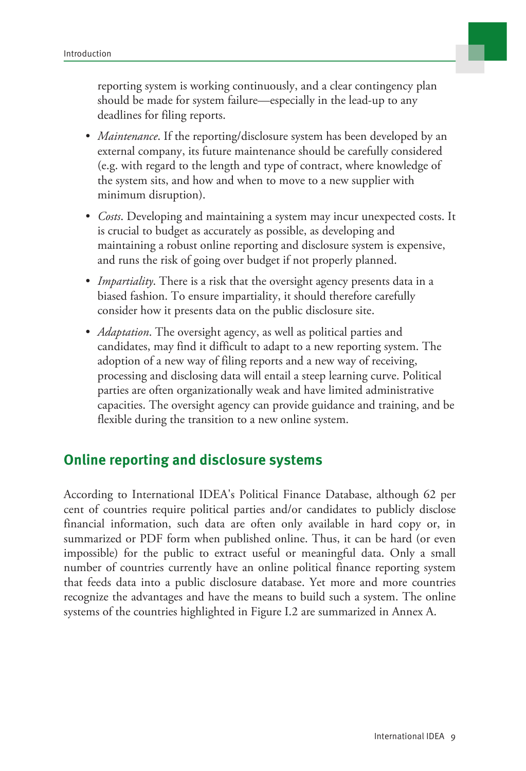

reporting system is working continuously, and a clear contingency plan should be made for system failure—especially in the lead-up to any deadlines for filing reports.

- *Maintenance*. If the reporting/disclosure system has been developed by an external company, its future maintenance should be carefully considered (e.g. with regard to the length and type of contract, where knowledge of the system sits, and how and when to move to a new supplier with minimum disruption).
- *Costs*. Developing and maintaining a system may incur unexpected costs. It is crucial to budget as accurately as possible, as developing and maintaining a robust online reporting and disclosure system is expensive, and runs the risk of going over budget if not properly planned.
- *Impartiality*. There is a risk that the oversight agency presents data in a biased fashion. To ensure impartiality, it should therefore carefully consider how it presents data on the public disclosure site.
- *Adaptation*. The oversight agency, as well as political parties and candidates, may find it difficult to adapt to a new reporting system. The adoption of a new way of filing reports and a new way of receiving, processing and disclosing data will entail a steep learning curve. Political parties are often organizationally weak and have limited administrative capacities. The oversight agency can provide guidance and training, and be flexible during the transition to a new online system.

# **Online reporting and disclosure systems**

According to International IDEA's Political Finance Database, although 62 per cent of countries require political parties and/or candidates to publicly disclose financial information, such data are often only available in hard copy or, in summarized or PDF form when published online. Thus, it can be hard (or even impossible) for the public to extract useful or meaningful data. Only a small number of countries currently have an online political finance reporting system that feeds data into a public disclosure database. Yet more and more countries recognize the advantages and have the means to build such a system. The online systems of the countries highlighted in Figure I.2 are summarized in Annex A.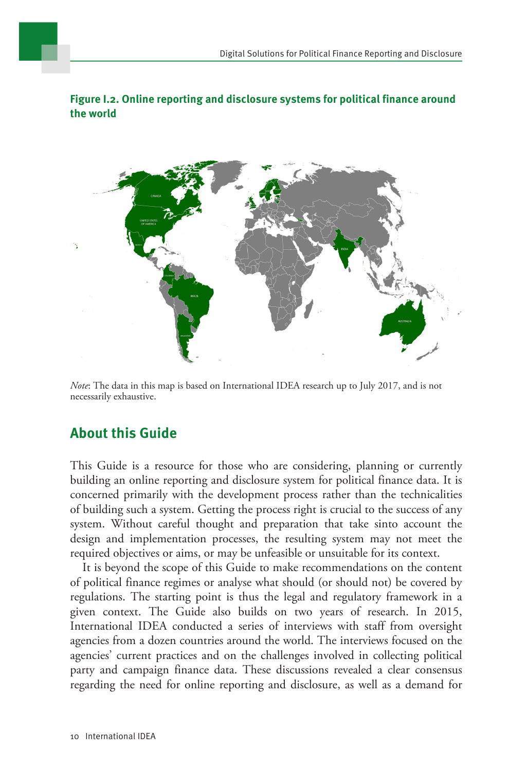### **Figure I.2. Online reporting and disclosure systems for political finance around the world**



*Note*: The data in this map is based on International IDEA research up to July 2017, and is not necessarily exhaustive.

# **About this Guide**

This Guide is a resource for those who are considering, planning or currently building an online reporting and disclosure system for political finance data. It is concerned primarily with the development process rather than the technicalities of building such a system. Getting the process right is crucial to the success of any system. Without careful thought and preparation that take sinto account the design and implementation processes, the resulting system may not meet the required objectives or aims, or may be unfeasible or unsuitable for its context.

It is beyond the scope of this Guide to make recommendations on the content of political finance regimes or analyse what should (or should not) be covered by regulations. The starting point is thus the legal and regulatory framework in a given context. The Guide also builds on two years of research. In 2015, International IDEA conducted a series of interviews with staff from oversight agencies from a dozen countries around the world. The interviews focused on the agencies' current practices and on the challenges involved in collecting political party and campaign finance data. These discussions revealed a clear consensus regarding the need for online reporting and disclosure, as well as a demand for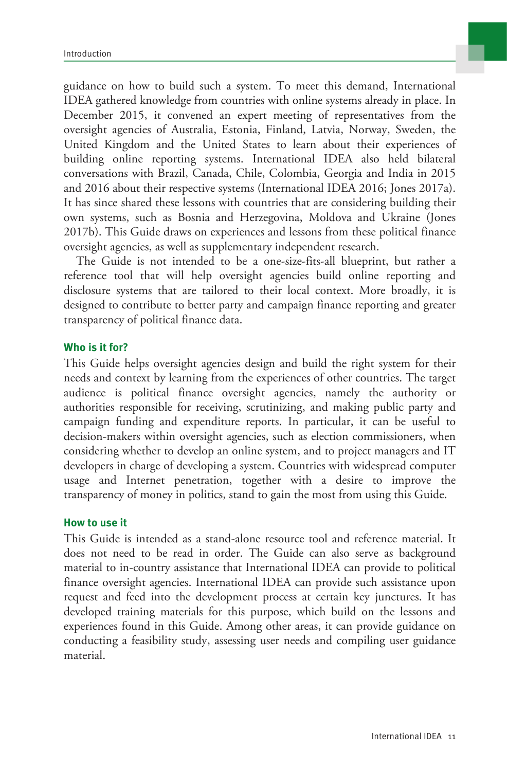guidance on how to build such a system. To meet this demand, International IDEA gathered knowledge from countries with online systems already in place. In December 2015, it convened an expert meeting of representatives from the oversight agencies of Australia, Estonia, Finland, Latvia, Norway, Sweden, the United Kingdom and the United States to learn about their experiences of building online reporting systems. International IDEA also held bilateral conversations with Brazil, Canada, Chile, Colombia, Georgia and India in 2015 and 2016 about their respective systems (International IDEA 2016; Jones 2017a). It has since shared these lessons with countries that are considering building their own systems, such as Bosnia and Herzegovina, Moldova and Ukraine (Jones 2017b). This Guide draws on experiences and lessons from these political finance oversight agencies, as well as supplementary independent research.

The Guide is not intended to be a one-size-fits-all blueprint, but rather a reference tool that will help oversight agencies build online reporting and disclosure systems that are tailored to their local context. More broadly, it is designed to contribute to better party and campaign finance reporting and greater transparency of political finance data.

#### **Who is it for?**

This Guide helps oversight agencies design and build the right system for their needs and context by learning from the experiences of other countries. The target audience is political finance oversight agencies, namely the authority or authorities responsible for receiving, scrutinizing, and making public party and campaign funding and expenditure reports. In particular, it can be useful to decision-makers within oversight agencies, such as election commissioners, when considering whether to develop an online system, and to project managers and IT developers in charge of developing a system. Countries with widespread computer usage and Internet penetration, together with a desire to improve the transparency of money in politics, stand to gain the most from using this Guide.

#### **How to use it**

This Guide is intended as a stand-alone resource tool and reference material. It does not need to be read in order. The Guide can also serve as background material to in-country assistance that International IDEA can provide to political finance oversight agencies. International IDEA can provide such assistance upon request and feed into the development process at certain key junctures. It has developed training materials for this purpose, which build on the lessons and experiences found in this Guide. Among other areas, it can provide guidance on conducting a feasibility study, assessing user needs and compiling user guidance material.